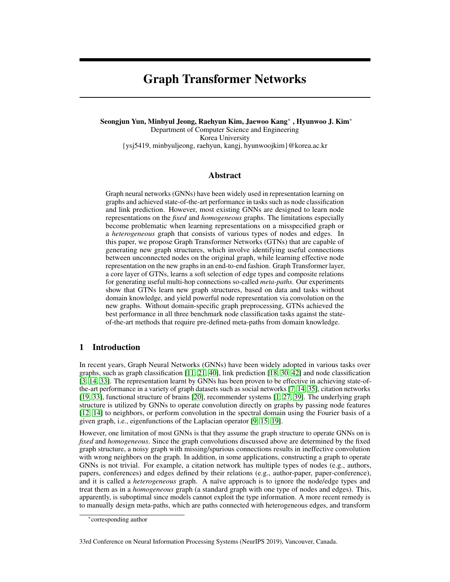# Graph Transformer Networks

Seongjun Yun, Minbyul Jeong, Raehyun Kim, Jaewoo Kang<sup>∗</sup> , Hyunwoo J. Kim<sup>∗</sup> Department of Computer Science and Engineering Korea University {ysj5419, minbyuljeong, raehyun, kangj, hyunwoojkim}@korea.ac.kr

## Abstract

Graph neural networks (GNNs) have been widely used in representation learning on graphs and achieved state-of-the-art performance in tasks such as node classification and link prediction. However, most existing GNNs are designed to learn node representations on the *fixed* and *homogeneous* graphs. The limitations especially become problematic when learning representations on a misspecified graph or a *heterogeneous* graph that consists of various types of nodes and edges. In this paper, we propose Graph Transformer Networks (GTNs) that are capable of generating new graph structures, which involve identifying useful connections between unconnected nodes on the original graph, while learning effective node representation on the new graphs in an end-to-end fashion. Graph Transformer layer, a core layer of GTNs, learns a soft selection of edge types and composite relations for generating useful multi-hop connections so-called *meta-paths*. Our experiments show that GTNs learn new graph structures, based on data and tasks without domain knowledge, and yield powerful node representation via convolution on the new graphs. Without domain-specific graph preprocessing, GTNs achieved the best performance in all three benchmark node classification tasks against the stateof-the-art methods that require pre-defined meta-paths from domain knowledge.

# 1 Introduction

In recent years, Graph Neural Networks (GNNs) have been widely adopted in various tasks over graphs, such as graph classification [11, 21, 40], link prediction [18, 30, 42] and node classification [3, 14, 33]. The representation learnt by GNNs has been proven to be effective in achieving state-ofthe-art performance in a variety of graph datasets such as social networks [7, 14, 35], citation networks [19, 33], functional structure of brains [20], recommender systems [1, 27, 39]. The underlying graph structure is utilized by GNNs to operate convolution directly on graphs by passing node features [12, 14] to neighbors, or perform convolution in the spectral domain using the Fourier basis of a given graph, i.e., eigenfunctions of the Laplacian operator [9, 15, 19].

However, one limitation of most GNNs is that they assume the graph structure to operate GNNs on is *fixed* and *homogeneous*. Since the graph convolutions discussed above are determined by the fixed graph structure, a noisy graph with missing/spurious connections results in ineffective convolution with wrong neighbors on the graph. In addition, in some applications, constructing a graph to operate GNNs is not trivial. For example, a citation network has multiple types of nodes (e.g., authors, papers, conferences) and edges defined by their relations (e.g., author-paper, paper-conference), and it is called a *heterogeneous* graph. A naïve approach is to ignore the node/edge types and treat them as in a *homogeneous* graph (a standard graph with one type of nodes and edges). This, apparently, is suboptimal since models cannot exploit the type information. A more recent remedy is to manually design meta-paths, which are paths connected with heterogeneous edges, and transform

<sup>∗</sup> corresponding author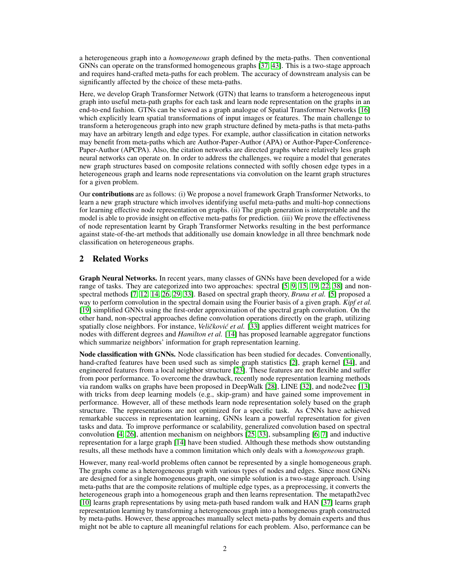a heterogeneous graph into a *homogeneous* graph defined by the meta-paths. Then conventional GNNs can operate on the transformed homogeneous graphs [37, 43]. This is a two-stage approach and requires hand-crafted meta-paths for each problem. The accuracy of downstream analysis can be significantly affected by the choice of these meta-paths.

Here, we develop Graph Transformer Network (GTN) that learns to transform a heterogeneous input graph into useful meta-path graphs for each task and learn node representation on the graphs in an end-to-end fashion. GTNs can be viewed as a graph analogue of Spatial Transformer Networks [16] which explicitly learn spatial transformations of input images or features. The main challenge to transform a heterogeneous graph into new graph structure defined by meta-paths is that meta-paths may have an arbitrary length and edge types. For example, author classification in citation networks may benefit from meta-paths which are Author-Paper-Author (APA) or Author-Paper-Conference-Paper-Author (APCPA). Also, the citation networks are directed graphs where relatively less graph neural networks can operate on. In order to address the challenges, we require a model that generates new graph structures based on composite relations connected with softly chosen edge types in a heterogeneous graph and learns node representations via convolution on the learnt graph structures for a given problem.

Our contributions are as follows: (i) We propose a novel framework Graph Transformer Networks, to learn a new graph structure which involves identifying useful meta-paths and multi-hop connections for learning effective node representation on graphs. (ii) The graph generation is interpretable and the model is able to provide insight on effective meta-paths for prediction. (iii) We prove the effectiveness of node representation learnt by Graph Transformer Networks resulting in the best performance against state-of-the-art methods that additionally use domain knowledge in all three benchmark node classification on heterogeneous graphs.

# 2 Related Works

Graph Neural Networks. In recent years, many classes of GNNs have been developed for a wide range of tasks. They are categorized into two approaches: spectral [5, 9, 15, 19, 22, 38] and nonspectral methods [7, 12, 14, 26, 29, 33]. Based on spectral graph theory, *Bruna et al.* [5] proposed a way to perform convolution in the spectral domain using the Fourier basis of a given graph. *Kipf et al.* [19] simplified GNNs using the first-order approximation of the spectral graph convolution. On the other hand, non-spectral approaches define convolution operations directly on the graph, utilizing spatially close neighbors. For instance, *Veličković et al.* [33] applies different weight matrices for nodes with different degrees and *Hamilton et al.* [14] has proposed learnable aggregator functions which summarize neighbors' information for graph representation learning.

Node classification with GNNs. Node classification has been studied for decades. Conventionally, hand-crafted features have been used such as simple graph statistics [2], graph kernel [34], and engineered features from a local neighbor structure [23]. These features are not flexible and suffer from poor performance. To overcome the drawback, recently node representation learning methods via random walks on graphs have been proposed in DeepWalk [28], LINE [32], and node2vec [13] with tricks from deep learning models (e.g., skip-gram) and have gained some improvement in performance. However, all of these methods learn node representation solely based on the graph structure. The representations are not optimized for a specific task. As CNNs have achieved remarkable success in representation learning, GNNs learn a powerful representation for given tasks and data. To improve performance or scalability, generalized convolution based on spectral convolution [4, 26], attention mechanism on neighbors [25, 33], subsampling [6, 7] and inductive representation for a large graph [14] have been studied. Although these methods show outstanding results, all these methods have a common limitation which only deals with a *homogeneous* graph.

However, many real-world problems often cannot be represented by a single homogeneous graph. The graphs come as a heterogeneous graph with various types of nodes and edges. Since most GNNs are designed for a single homogeneous graph, one simple solution is a two-stage approach. Using meta-paths that are the composite relations of multiple edge types, as a preprocessing, it converts the heterogeneous graph into a homogeneous graph and then learns representation. The metapath2vec [10] learns graph representations by using meta-path based random walk and HAN [37] learns graph representation learning by transforming a heterogeneous graph into a homogeneous graph constructed by meta-paths. However, these approaches manually select meta-paths by domain experts and thus might not be able to capture all meaningful relations for each problem. Also, performance can be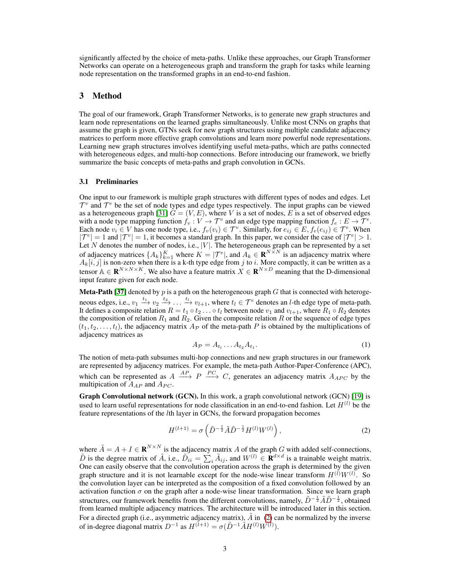significantly affected by the choice of meta-paths. Unlike these approaches, our Graph Transformer Networks can operate on a heterogeneous graph and transform the graph for tasks while learning node representation on the transformed graphs in an end-to-end fashion.

## 3 Method

The goal of our framework, Graph Transformer Networks, is to generate new graph structures and learn node representations on the learned graphs simultaneously. Unlike most CNNs on graphs that assume the graph is given, GTNs seek for new graph structures using multiple candidate adjacency matrices to perform more effective graph convolutions and learn more powerful node representations. Learning new graph structures involves identifying useful meta-paths, which are paths connected with heterogeneous edges, and multi-hop connections. Before introducing our framework, we briefly summarize the basic concepts of meta-paths and graph convolution in GCNs.

### 3.1 Preliminaries

One input to our framework is multiple graph structures with different types of nodes and edges. Let  $\mathcal{T}^v$  and  $\mathcal{T}^e$  be the set of node types and edge types respectively. The input graphs can be viewed as a heterogeneous graph [31]  $G = (V, E)$ , where V is a set of nodes, E is a set of observed edges with a node type mapping function  $f_v: V \to T^v$  and an edge type mapping function  $f_e: E \to T^e$ . Each node  $v_i \in V$  has one node type, i.e.,  $f_v(v_i) \in \mathcal{T}^v$ . Similarly, for  $e_{ij} \in E$ ,  $f_e(e_{ij}) \in \mathcal{T}^e$ . When  $|{\cal T}^e|=1$  and  $|{\cal T}^v|=1$ , it becomes a standard graph. In this paper, we consider the case of  $|{\cal T}^e|>1$ . Let N denotes the number of nodes, i.e.,  $|V|$ . The heterogeneous graph can be represented by a set of adjacency matrices  $\{A_k\}_{k=1}^K$  where  $K = \mathcal{T}^e$ , and  $A_k \in \mathbf{R}^{N \times N}$  is an adjacency matrix where  $A_k[i, j]$  is non-zero when there is a k-th type edge from j to i. More compactly, it can be written as a tensor  $A \in \mathbf{R}^{N \times N \times K}$ . We also have a feature matrix  $X \in \mathbf{R}^{N \times D}$  meaning that the D-dimensional input feature given for each node.

**Meta-Path [37]** denoted by  $p$  is a path on the heterogeneous graph  $G$  that is connected with heterogeneous edges, i.e.,  $v_1 \xrightarrow{t_1} v_2 \xrightarrow{t_2} \ldots \xrightarrow{t_l} v_{l+1}$ , where  $t_l \in \mathcal{T}^e$  denotes an *l*-th edge type of meta-path. It defines a composite relation  $R = t_1 \circ t_2 \dots \circ t_l$  between node  $v_1$  and  $v_{l+1}$ , where  $R_1 \circ R_2$  denotes the composition of relation  $R_1$  and  $R_2$ . Given the composite relation R or the sequence of edge types  $(t_1, t_2, \ldots, t_l)$ , the adjacency matrix  $A_{\mathcal{P}}$  of the meta-path P is obtained by the multiplications of adjacency matrices as

$$
A_{\mathcal{P}} = A_{t_1} \dots A_{t_2} A_{t_1}.\tag{1}
$$

The notion of meta-path subsumes multi-hop connections and new graph structures in our framework are represented by adjacency matrices. For example, the meta-path Author-Paper-Conference (APC), which can be represented as  $A \xrightarrow{AP} P \xrightarrow{PC} C$ , generates an adjacency matrix  $A_{APC}$  by the multipication of  $A_{AP}$  and  $A_{PC}$ .

Graph Convolutional network (GCN). In this work, a graph convolutional network (GCN) [19] is used to learn useful representations for node classification in an end-to-end fashion. Let  $H^{(l)}$  be the feature representations of the lth layer in GCNs, the forward propagation becomes

$$
H^{(l+1)} = \sigma\left(\tilde{D}^{-\frac{1}{2}}\tilde{A}\tilde{D}^{-\frac{1}{2}}H^{(l)}W^{(l)}\right),\tag{2}
$$

where  $\tilde{A} = A + I \in \mathbf{R}^{N \times N}$  is the adjacency matrix A of the graph G with added self-connections,  $\tilde{D}$  is the degree matrix of  $\tilde{A}$ , i.e.,  $\tilde{D}_{ii} = \sum_i \tilde{A}_{ij}$ , and  $W^{(l)} \in \mathbf{R}^{d \times d}$  is a trainable weight matrix. One can easily observe that the convolution operation across the graph is determined by the given graph structure and it is not learnable except for the node-wise linear transform  $H^{(l)}W^{(l)}$ . So the convolution layer can be interpreted as the composition of a fixed convolution followed by an activation function  $\sigma$  on the graph after a node-wise linear transformation. Since we learn graph structures, our framework benefits from the different convolutions, namely,  $\tilde{D}^{-\frac{1}{2}}\tilde{A}\tilde{D}^{-\frac{1}{2}}$ , obtained from learned multiple adjacency matrices. The architecture will be introduced later in this section. For a directed graph (i.e., asymmetric adjacency matrix),  $A$  in (2) can be normalized by the inverse of in-degree diagonal matrix  $D^{-1}$  as  $H^{(l+1)} = \sigma(\tilde{D}^{-1}\tilde{A}H^{(l)}W^{(l)})$ .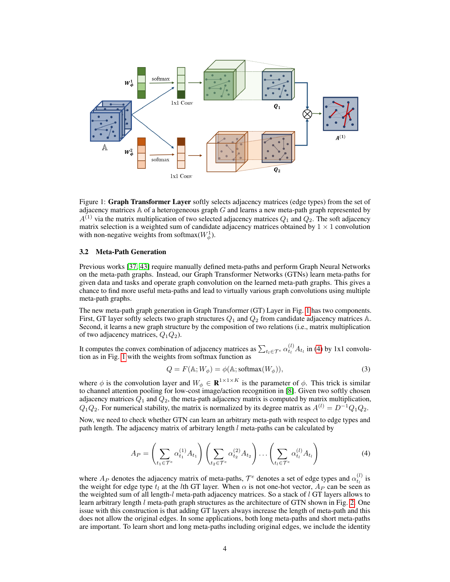

Figure 1: Graph Transformer Layer softly selects adjacency matrices (edge types) from the set of adjacency matrices  $A$  of a heterogeneous graph  $G$  and learns a new meta-path graph represented by  $A^{(1)}$  via the matrix multiplication of two selected adjacency matrices  $Q_1$  and  $Q_2$ . The soft adjacency matrix selection is a weighted sum of candidate adjacency matrices obtained by  $1 \times 1$  convolution with non-negative weights from softmax $(W_{\phi}^1)$ .

## 3.2 Meta-Path Generation

Previous works [37, 43] require manually defined meta-paths and perform Graph Neural Networks on the meta-path graphs. Instead, our Graph Transformer Networks (GTNs) learn meta-paths for given data and tasks and operate graph convolution on the learned meta-path graphs. This gives a chance to find more useful meta-paths and lead to virtually various graph convolutions using multiple meta-path graphs.

The new meta-path graph generation in Graph Transformer (GT) Layer in Fig. 1 has two components. First, GT layer softly selects two graph structures  $Q_1$  and  $Q_2$  from candidate adjacency matrices A. Second, it learns a new graph structure by the composition of two relations (i.e., matrix multiplication of two adjacency matrices,  $Q_1Q_2$ ).

It computes the convex combination of adjacency matrices as  $\sum_{t_l \in \mathcal{T}^e} \alpha_{t_l}^{(l)} A_{t_l}$  in (4) by 1x1 convolution as in Fig. 1 with the weights from softmax function as

$$
Q = F(\mathbb{A}; W_{\phi}) = \phi(\mathbb{A}; \text{softmax}(W_{\phi})),
$$
\n(3)

where  $\phi$  is the convolution layer and  $W_{\phi} \in \mathbf{R}^{1 \times 1 \times K}$  is the parameter of  $\phi$ . This trick is similar to channel attention pooling for low-cost image/action recognition in [8]. Given two softly chosen adjacency matrices  $Q_1$  and  $Q_2$ , the meta-path adjacency matrix is computed by matrix multiplication,  $Q_1Q_2$ . For numerical stability, the matrix is normalized by its degree matrix as  $A^{(l)} = D^{-1}Q_1Q_2$ .

Now, we need to check whether GTN can learn an arbitrary meta-path with respect to edge types and path length. The adjacency matrix of arbitrary length  $l$  meta-paths can be calculated by

$$
A_P = \left(\sum_{t_1 \in \mathcal{T}^e} \alpha_{t_1}^{(1)} A_{t_1}\right) \left(\sum_{t_2 \in \mathcal{T}^e} \alpha_{t_2}^{(2)} A_{t_2}\right) \cdots \left(\sum_{t_l \in \mathcal{T}^e} \alpha_{t_l}^{(l)} A_{t_l}\right) \tag{4}
$$

where  $A_P$  denotes the adjacency matrix of meta-paths,  $\mathcal{T}^e$  denotes a set of edge types and  $\alpha_{t_l}^{(l)}$  is the weight for edge type  $t<sub>l</sub>$  at the lth GT layer. When  $\alpha$  is not one-hot vector,  $A<sub>P</sub>$  can be seen as the weighted sum of all length-l meta-path adjacency matrices. So a stack of  $l$  GT layers allows to learn arbitrary length  $l$  meta-path graph structures as the architecture of GTN shown in Fig. 2. One issue with this construction is that adding GT layers always increase the length of meta-path and this does not allow the original edges. In some applications, both long meta-paths and short meta-paths are important. To learn short and long meta-paths including original edges, we include the identity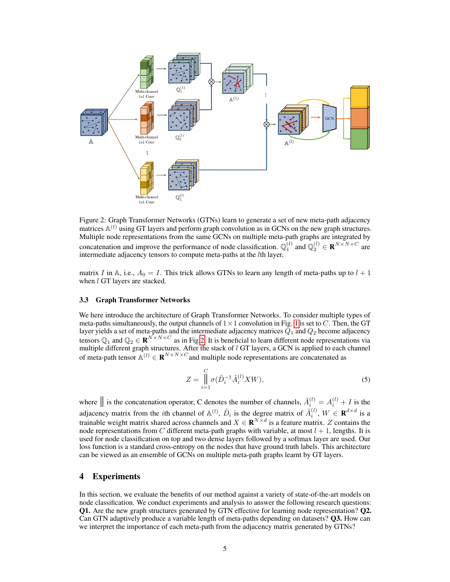

Figure 2: Graph Transformer Networks (GTNs) learn to generate a set of new meta-path adjacency matrices  $\mathbb{A}^{(l)}$  using GT layers and perform graph convolution as in GCNs on the new graph structures. Multiple node representations from the same GCNs on multiple meta-path graphs are integrated by concatenation and improve the performance of node classification.  $\mathbb{Q}_1^{(l)}$  and  $\mathbb{Q}_2^{(l)} \in \mathbb{R}^{N \times N \times C}$  are intermediate adjacency tensors to compute meta-paths at the lth layer.

matrix I in A, i.e.,  $A_0 = I$ . This trick allows GTNs to learn any length of meta-paths up to  $l + 1$ when *l* GT layers are stacked.

#### 3.3 Graph Transformer Networks

We here introduce the architecture of Graph Transformer Networks. To consider multiple types of meta-paths simultaneously, the output channels of  $1 \times 1$  convolution in Fig. 1 is set to C. Then, the GT layer yields a set of meta-paths and the intermediate adjacency matrices  $Q_1$  and  $Q_2$  become adjacency tensors  $\mathbb{Q}_1$  and  $\mathbb{Q}_2 \in \mathbf{R}^{N \times N \times C}$  as in Fig.2. It is beneficial to learn different node representations via multiple different graph structures. After the stack of  $l$  GT layers, a GCN is applied to each channel of meta-path tensor  $\mathbb{A}^{(l)} \in \mathbb{R}^{N \times N \times C}$  and multiple node representations are concatenated as

$$
Z = \prod_{i=1}^{C} \sigma(\tilde{D}_i^{-1} \tilde{A}_i^{(l)} X W), \tag{5}
$$

where  $\parallel$  is the concatenation operator, C denotes the number of channels,  $\tilde{A}_i^{(l)} = A_i^{(l)} + I$  is the adjacency matrix from the *i*th channel of  $\mathbb{A}^{(l)}$ ,  $\tilde{D}_i$  is the degree matrix of  $\tilde{A}_i^{(l)}$ ,  $W \in \mathbf{R}^{d \times d}$  is a trainable weight matrix shared across channels and  $X \in \mathbf{R}^{N \times d}$  is a feature matrix. Z contains the node representations from C different meta-path graphs with variable, at most  $l + 1$ , lengths. It is used for node classification on top and two dense layers followed by a softmax layer are used. Our loss function is a standard cross-entropy on the nodes that have ground truth labels. This architecture can be viewed as an ensemble of GCNs on multiple meta-path graphs learnt by GT layers.

## 4 Experiments

In this section, we evaluate the benefits of our method against a variety of state-of-the-art models on node classification. We conduct experiments and analysis to answer the following research questions: Q1. Are the new graph structures generated by GTN effective for learning node representation? Q2. Can GTN adaptively produce a variable length of meta-paths depending on datasets? Q3. How can we interpret the importance of each meta-path from the adjacency matrix generated by GTNs?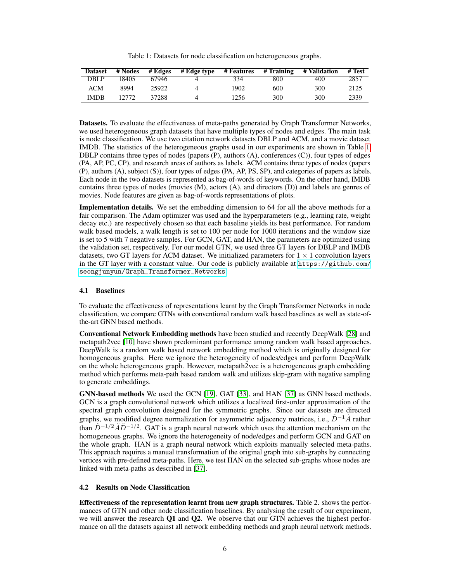Table 1: Datasets for node classification on heterogeneous graphs.

| <b>Dataset</b> | # Nodes | # Edges | # Edge type | # Features | # Training | # Validation | # Test |
|----------------|---------|---------|-------------|------------|------------|--------------|--------|
| <b>DBLP</b>    | 18405   | 67946   |             | 334        | 800        | 400          | 2857   |
| ACM            | 8994    | 25922   | Δ           | 1902       | 600        | 300          | 2125   |
| <b>IMDB</b>    | 12.772  | 37288   |             | 1256       | 300        | 300          | 2339   |

Datasets. To evaluate the effectiveness of meta-paths generated by Graph Transformer Networks, we used heterogeneous graph datasets that have multiple types of nodes and edges. The main task is node classification. We use two citation network datasets DBLP and ACM, and a movie dataset IMDB. The statistics of the heterogeneous graphs used in our experiments are shown in Table 1. DBLP contains three types of nodes (papers (P), authors (A), conferences (C)), four types of edges (PA, AP, PC, CP), and research areas of authors as labels. ACM contains three types of nodes (papers (P), authors (A), subject (S)), four types of edges (PA, AP, PS, SP), and categories of papers as labels. Each node in the two datasets is represented as bag-of-words of keywords. On the other hand, IMDB contains three types of nodes (movies (M), actors (A), and directors (D)) and labels are genres of movies. Node features are given as bag-of-words representations of plots.

Implementation details. We set the embedding dimension to 64 for all the above methods for a fair comparison. The Adam optimizer was used and the hyperparameters (e.g., learning rate, weight decay etc.) are respectively chosen so that each baseline yields its best performance. For random walk based models, a walk length is set to 100 per node for 1000 iterations and the window size is set to 5 with 7 negative samples. For GCN, GAT, and HAN, the parameters are optimized using the validation set, respectively. For our model GTN, we used three GT layers for DBLP and IMDB datasets, two GT layers for ACM dataset. We initialized parameters for  $1 \times 1$  convolution layers in the GT layer with a constant value. Our code is publicly available at [https://github.com/](https://github.com/seongjunyun/Graph_Transformer_Networks) [seongjunyun/Graph\\_Transformer\\_Networks](https://github.com/seongjunyun/Graph_Transformer_Networks).

## 4.1 Baselines

To evaluate the effectiveness of representations learnt by the Graph Transformer Networks in node classification, we compare GTNs with conventional random walk based baselines as well as state-ofthe-art GNN based methods.

Conventional Network Embedding methods have been studied and recently DeepWalk [28] and metapath2vec [10] have shown predominant performance among random walk based approaches. DeepWalk is a random walk based network embedding method which is originally designed for homogeneous graphs. Here we ignore the heterogeneity of nodes/edges and perform DeepWalk on the whole heterogeneous graph. However, metapath2vec is a heterogeneous graph embedding method which performs meta-path based random walk and utilizes skip-gram with negative sampling to generate embeddings.

GNN-based methods We used the GCN [19], GAT [33], and HAN [37] as GNN based methods. GCN is a graph convolutional network which utilizes a localized first-order approximation of the spectral graph convolution designed for the symmetric graphs. Since our datasets are directed graphs, we modified degree normalization for asymmetric adjacency matrices, i.e.,  $\tilde{D}^{-1}\tilde{A}$  rather than  $\tilde{D}^{-1/2}\tilde{A}\tilde{D}^{-1/2}$ . GAT is a graph neural network which uses the attention mechanism on the homogeneous graphs. We ignore the heterogeneity of node/edges and perform GCN and GAT on the whole graph. HAN is a graph neural network which exploits manually selected meta-paths. This approach requires a manual transformation of the original graph into sub-graphs by connecting vertices with pre-defined meta-paths. Here, we test HAN on the selected sub-graphs whose nodes are linked with meta-paths as described in [37].

### 4.2 Results on Node Classification

Effectiveness of the representation learnt from new graph structures. Table 2. shows the performances of GTN and other node classification baselines. By analysing the result of our experiment, we will answer the research Q1 and Q2. We observe that our GTN achieves the highest performance on all the datasets against all network embedding methods and graph neural network methods.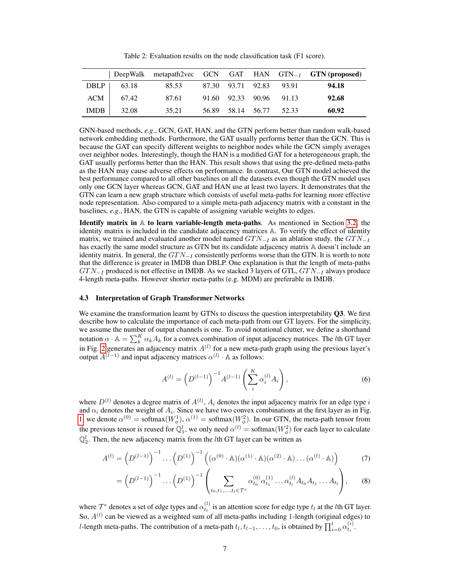Table 2: Evaluation results on the node classification task (F1 score).

|                    |       |  |                         | DeepWalk metapath2vec GCN GAT HAN $GTN_{-I}$ GTN (proposed) |
|--------------------|-------|--|-------------------------|-------------------------------------------------------------|
| DBLP $\vert$ 63.18 | 85.53 |  | 87.30 93.71 92.83 93.91 | 94.18                                                       |
| $ACM$ 67.42        | 87.61 |  | 91.60 92.33 90.96 91.13 | 92.68                                                       |
| $IMDB$ 32.08       | 35.21 |  | 56.89 58.14 56.77 52.33 | 60.92                                                       |

GNN-based methods, *e.g*., GCN, GAT, HAN, and the GTN perform better than random walk-based network embedding methods. Furthermore, the GAT usually performs better than the GCN. This is because the GAT can specify different weights to neighbor nodes while the GCN simply averages over neighbor nodes. Interestingly, though the HAN is a modified GAT for a heterogeneous graph, the GAT usually performs better than the HAN. This result shows that using the pre-defined meta-paths as the HAN may cause adverse effects on performance. In contrast, Our GTN model achieved the best performance compared to all other baselines on all the datasets even though the GTN model uses only one GCN layer whereas GCN, GAT and HAN use at least two layers. It demonstrates that the GTN can learn a new graph structure which consists of useful meta-paths for learning more effective node representation. Also compared to a simple meta-path adjacency matrix with a constant in the baselines, *e.g*., HAN, the GTN is capable of assigning variable weights to edges.

Identify matrix in A to learn variable-length meta-paths. As mentioned in Section 3.2, the identity matrix is included in the candidate adjacency matrices A. To verify the effect of identity matrix, we trained and evaluated another model named  $G T N_{-I}$  as an ablation study. the  $G T N_{-I}$ has exactly the same model structure as GTN but its candidate adjacency matrix  $A$  doesn't include an identity matrix. In general, the  $GTN_{-I}$  consistently performs worse than the GTN. It is worth to note that the difference is greater in IMDB than DBLP. One explanation is that the length of meta-paths  $GTN_{-I}$  produced is not effective in IMDB. As we stacked 3 layers of GTL,  $GTN_{-I}$  always produce 4-length meta-paths. However shorter meta-paths (e.g. MDM) are preferable in IMDB.

#### 4.3 Interpretation of Graph Transformer Networks

We examine the transformation learnt by GTNs to discuss the question interpretability **Q3**. We first describe how to calculate the importance of each meta-path from our GT layers. For the simplicity, we assume the number of output channels is one. To avoid notational clutter, we define a shorthand notation  $\alpha \cdot A = \sum_{k=1}^{K} \alpha_k A_k$  for a convex combination of input adjacency matrices. The *l*th GT layer in Fig. 2 generates an adjacency matrix  $A^{(l)}$  for a new meta-path graph using the previous layer's output  $A^{(\bar{l}-1)}$  and input adjacency matrices  $\alpha^{(l)} \cdot A$  as follows:

$$
A^{(l)} = \left(D^{(l-1)}\right)^{-1} A^{(l-1)} \left(\sum_{i}^{K} \alpha_i^{(l)} A_i\right),\tag{6}
$$

where  $D^{(l)}$  denotes a degree matrix of  $A^{(l)}$ ,  $A_i$  denotes the input adjacency matrix for an edge type i and  $\alpha_i$  denotes the weight of  $A_i$ . Since we have two convex combinations at the first layer as in Fig. 1, we denote  $\alpha^{(0)} = \text{softmax}(W_{\phi}^1), \alpha^{(1)} = \text{softmax}(W_{\phi}^2)$ . In our GTN, the meta-path tensor from the previous tensor is reused for  $\mathbb{Q}_1^l$ , we only need  $\alpha^{(l)} = \text{softmax}(W^2_{\phi})$  for each layer to calculate  $\mathbb{Q}_2^l$ . Then, the new adjacency matrix from the *l*th GT layer can be written as

$$
A^{(l)} = \left(D^{(l-1)}\right)^{-1} \dots \left(D^{(1)}\right)^{-1} \left( (\alpha^{(0)} \cdot \mathbb{A})(\alpha^{(1)} \cdot \mathbb{A})(\alpha^{(2)} \cdot \mathbb{A}) \dots (\alpha^{(l)} \cdot \mathbb{A})\right) \tag{7}
$$

$$
= \left(D^{(l-1)}\right)^{-1} \dots \left(D^{(1)}\right)^{-1} \left(\sum_{t_0, t_1, \dots, t_l \in \mathcal{T}^e} \alpha_{t_0}^{(0)} \alpha_{t_1}^{(1)} \dots \alpha_{t_l}^{(l)} A_{t_0} A_{t_1} \dots A_{t_l}\right), \quad (8)
$$

where  $\mathcal{T}^e$  denotes a set of edge types and  $\alpha_{t_l}^{(l)}$  is an attention score for edge type  $t_l$  at the *l*th GT layer. So,  $A^{(l)}$  can be viewed as a weighted sum of all meta-paths including 1-length (original edges) to l-length meta-paths. The contribution of a meta-path  $t_l, t_{l-1}, \ldots, t_0$ , is obtained by  $\prod_{i=0}^l \alpha_{t_i}^{(i)}$ .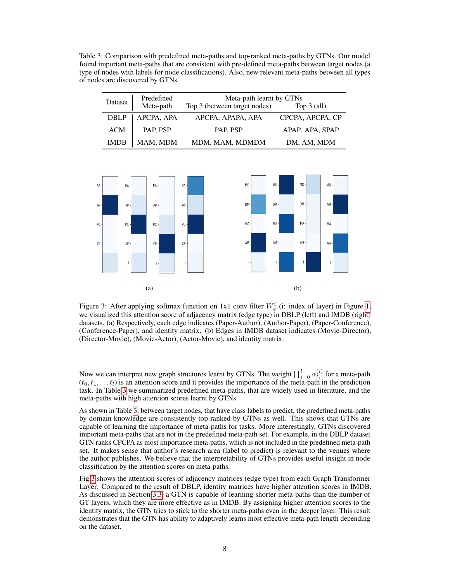Table 3: Comparison with predefined meta-paths and top-ranked meta-paths by GTNs. Our model found important meta-paths that are consistent with pre-defined meta-paths between target nodes (a type of nodes with labels for node classifications). Also, new relevant meta-paths between all types of nodes are discovered by GTNs.

| Dataset     | Predefined | Meta-path learnt by GTNs     |                  |  |  |  |
|-------------|------------|------------------------------|------------------|--|--|--|
|             | Meta-path  | Top 3 (between target nodes) | Top $3$ (all)    |  |  |  |
| <b>DBLP</b> | APCPA, APA | APCPA, APAPA, APA            | CPCPA, APCPA, CP |  |  |  |
| <b>ACM</b>  | PAP, PSP   | PAP, PSP                     | APAP, APA, SPAP  |  |  |  |
| <b>IMDB</b> | MAM, MDM   | MDM, MAM, MDMDM              | DM, AM, MDM      |  |  |  |



Figure 3: After applying softmax function on 1x1 conv filter  $W^i_{\phi}$  (i: index of layer) in Figure 1, we visualized this attention score of adjacency matrix (edge type) in DBLP (left) and IMDB (right) datasets. (a) Respectively, each edge indicates (Paper-Author), (Author-Paper), (Paper-Conference), (Conference-Paper), and identity matrix. (b) Edges in IMDB dataset indicates (Movie-Director), (Director-Movie), (Movie-Actor), (Actor-Movie), and identity matrix.

Now we can interpret new graph structures learnt by GTNs. The weight  $\prod_{i=0}^{l} \alpha_{t_i}^{(i)}$  for a meta-path  $(t_0, t_1, \ldots t_l)$  is an attention score and it provides the importance of the meta-path in the prediction task. In Table 3 we summarized predefined meta-paths, that are widely used in literature, and the meta-paths with high attention scores learnt by GTNs.

As shown in Table 3, between target nodes, that have class labels to predict, the predefined meta-paths by domain knowledge are consistently top-ranked by GTNs as well. This shows that GTNs are capable of learning the importance of meta-paths for tasks. More interestingly, GTNs discovered important meta-paths that are not in the predefined meta-path set. For example, in the DBLP dataset GTN ranks CPCPA as most importance meta-paths, which is not included in the predefined meta-path set. It makes sense that author's research area (label to predict) is relevant to the venues where the author publishes. We believe that the interpretability of GTNs provides useful insight in node classification by the attention scores on meta-paths.

Fig.3 shows the attention scores of adjacency matrices (edge type) from each Graph Transformer Layer. Compared to the result of DBLP, identity matrices have higher attention scores in IMDB. As discussed in Section 3.3, a GTN is capable of learning shorter meta-paths than the number of GT layers, which they are more effective as in IMDB. By assigning higher attention scores to the identity matrix, the GTN tries to stick to the shorter meta-paths even in the deeper layer. This result demonstrates that the GTN has ability to adaptively learns most effective meta-path length depending on the dataset.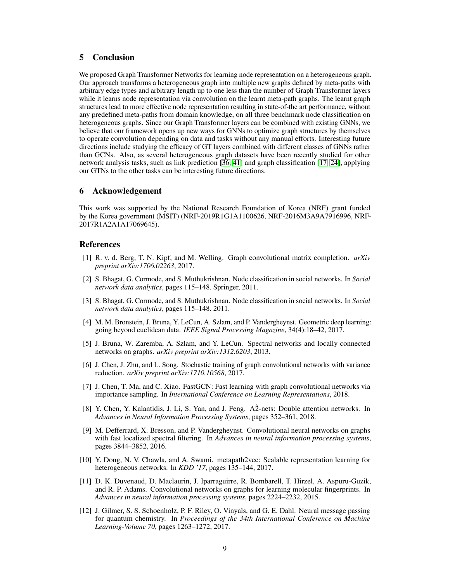# 5 Conclusion

We proposed Graph Transformer Networks for learning node representation on a heterogeneous graph. Our approach transforms a heterogeneous graph into multiple new graphs defined by meta-paths with arbitrary edge types and arbitrary length up to one less than the number of Graph Transformer layers while it learns node representation via convolution on the learnt meta-path graphs. The learnt graph structures lead to more effective node representation resulting in state-of-the art performance, without any predefined meta-paths from domain knowledge, on all three benchmark node classification on heterogeneous graphs. Since our Graph Transformer layers can be combined with existing GNNs, we believe that our framework opens up new ways for GNNs to optimize graph structures by themselves to operate convolution depending on data and tasks without any manual efforts. Interesting future directions include studying the efficacy of GT layers combined with different classes of GNNs rather than GCNs. Also, as several heterogeneous graph datasets have been recently studied for other network analysis tasks, such as link prediction [36, 41] and graph classification [17, 24], applying our GTNs to the other tasks can be interesting future directions.

## 6 Acknowledgement

This work was supported by the National Research Foundation of Korea (NRF) grant funded by the Korea government (MSIT) (NRF-2019R1G1A1100626, NRF-2016M3A9A7916996, NRF-2017R1A2A1A17069645).

## References

- [1] R. v. d. Berg, T. N. Kipf, and M. Welling. Graph convolutional matrix completion. *arXiv preprint arXiv:1706.02263*, 2017.
- [2] S. Bhagat, G. Cormode, and S. Muthukrishnan. Node classification in social networks. In *Social network data analytics*, pages 115–148. Springer, 2011.
- [3] S. Bhagat, G. Cormode, and S. Muthukrishnan. Node classification in social networks. In *Social network data analytics*, pages 115–148. 2011.
- [4] M. M. Bronstein, J. Bruna, Y. LeCun, A. Szlam, and P. Vandergheynst. Geometric deep learning: going beyond euclidean data. *IEEE Signal Processing Magazine*, 34(4):18–42, 2017.
- [5] J. Bruna, W. Zaremba, A. Szlam, and Y. LeCun. Spectral networks and locally connected networks on graphs. *arXiv preprint arXiv:1312.6203*, 2013.
- [6] J. Chen, J. Zhu, and L. Song. Stochastic training of graph convolutional networks with variance reduction. *arXiv preprint arXiv:1710.10568*, 2017.
- [7] J. Chen, T. Ma, and C. Xiao. FastGCN: Fast learning with graph convolutional networks via importance sampling. In *International Conference on Learning Representations*, 2018.
- [8] Y. Chen, Y. Kalantidis, J. Li, S. Yan, and J. Feng. A2-nets: Double attention networks. In *Advances in Neural Information Processing Systems*, pages 352–361, 2018.
- [9] M. Defferrard, X. Bresson, and P. Vandergheynst. Convolutional neural networks on graphs with fast localized spectral filtering. In *Advances in neural information processing systems*, pages 3844–3852, 2016.
- [10] Y. Dong, N. V. Chawla, and A. Swami. metapath2vec: Scalable representation learning for heterogeneous networks. In *KDD '17*, pages 135–144, 2017.
- [11] D. K. Duvenaud, D. Maclaurin, J. Iparraguirre, R. Bombarell, T. Hirzel, A. Aspuru-Guzik, and R. P. Adams. Convolutional networks on graphs for learning molecular fingerprints. In *Advances in neural information processing systems*, pages 2224–2232, 2015.
- [12] J. Gilmer, S. S. Schoenholz, P. F. Riley, O. Vinyals, and G. E. Dahl. Neural message passing for quantum chemistry. In *Proceedings of the 34th International Conference on Machine Learning-Volume 70*, pages 1263–1272, 2017.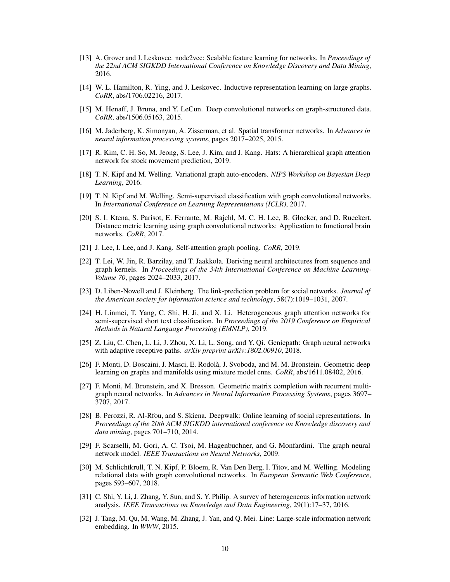- [13] A. Grover and J. Leskovec. node2vec: Scalable feature learning for networks. In *Proceedings of the 22nd ACM SIGKDD International Conference on Knowledge Discovery and Data Mining*, 2016.
- [14] W. L. Hamilton, R. Ying, and J. Leskovec. Inductive representation learning on large graphs. *CoRR*, abs/1706.02216, 2017.
- [15] M. Henaff, J. Bruna, and Y. LeCun. Deep convolutional networks on graph-structured data. *CoRR*, abs/1506.05163, 2015.
- [16] M. Jaderberg, K. Simonyan, A. Zisserman, et al. Spatial transformer networks. In *Advances in neural information processing systems*, pages 2017–2025, 2015.
- [17] R. Kim, C. H. So, M. Jeong, S. Lee, J. Kim, and J. Kang. Hats: A hierarchical graph attention network for stock movement prediction, 2019.
- [18] T. N. Kipf and M. Welling. Variational graph auto-encoders. *NIPS Workshop on Bayesian Deep Learning*, 2016.
- [19] T. N. Kipf and M. Welling. Semi-supervised classification with graph convolutional networks. In *International Conference on Learning Representations (ICLR)*, 2017.
- [20] S. I. Ktena, S. Parisot, E. Ferrante, M. Rajchl, M. C. H. Lee, B. Glocker, and D. Rueckert. Distance metric learning using graph convolutional networks: Application to functional brain networks. *CoRR*, 2017.
- [21] J. Lee, I. Lee, and J. Kang. Self-attention graph pooling. *CoRR*, 2019.
- [22] T. Lei, W. Jin, R. Barzilay, and T. Jaakkola. Deriving neural architectures from sequence and graph kernels. In *Proceedings of the 34th International Conference on Machine Learning-Volume 70*, pages 2024–2033, 2017.
- [23] D. Liben-Nowell and J. Kleinberg. The link-prediction problem for social networks. *Journal of the American society for information science and technology*, 58(7):1019–1031, 2007.
- [24] H. Linmei, T. Yang, C. Shi, H. Ji, and X. Li. Heterogeneous graph attention networks for semi-supervised short text classification. In *Proceedings of the 2019 Conference on Empirical Methods in Natural Language Processing (EMNLP)*, 2019.
- [25] Z. Liu, C. Chen, L. Li, J. Zhou, X. Li, L. Song, and Y. Qi. Geniepath: Graph neural networks with adaptive receptive paths. *arXiv preprint arXiv:1802.00910*, 2018.
- [26] F. Monti, D. Boscaini, J. Masci, E. Rodolà, J. Svoboda, and M. M. Bronstein. Geometric deep learning on graphs and manifolds using mixture model cnns. *CoRR*, abs/1611.08402, 2016.
- [27] F. Monti, M. Bronstein, and X. Bresson. Geometric matrix completion with recurrent multigraph neural networks. In *Advances in Neural Information Processing Systems*, pages 3697– 3707, 2017.
- [28] B. Perozzi, R. Al-Rfou, and S. Skiena. Deepwalk: Online learning of social representations. In *Proceedings of the 20th ACM SIGKDD international conference on Knowledge discovery and data mining*, pages 701–710, 2014.
- [29] F. Scarselli, M. Gori, A. C. Tsoi, M. Hagenbuchner, and G. Monfardini. The graph neural network model. *IEEE Transactions on Neural Networks*, 2009.
- [30] M. Schlichtkrull, T. N. Kipf, P. Bloem, R. Van Den Berg, I. Titov, and M. Welling. Modeling relational data with graph convolutional networks. In *European Semantic Web Conference*, pages 593–607, 2018.
- [31] C. Shi, Y. Li, J. Zhang, Y. Sun, and S. Y. Philip. A survey of heterogeneous information network analysis. *IEEE Transactions on Knowledge and Data Engineering*, 29(1):17–37, 2016.
- [32] J. Tang, M. Qu, M. Wang, M. Zhang, J. Yan, and Q. Mei. Line: Large-scale information network embedding. In *WWW*, 2015.